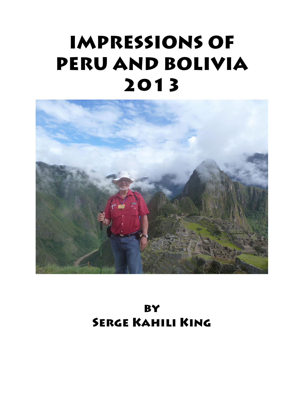# IMPRESSIONS OF PERU AND BOLIVIA 2013



**BY** Serge Kahili King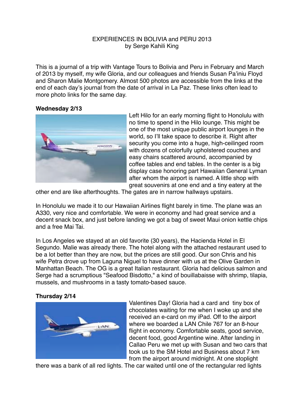# EXPERIENCES IN BOLIVIA and PERU 2013 by Serge Kahili King

This is a journal of a trip with Vantage Tours to Bolivia and Peru in February and March of 2013 by myself, my wife Gloria, and our colleagues and friends Susan Pa'iniu Floyd and Sharon Malie Montgomery. Almost 500 photos are accessible from the links at the end of each day's journal from the date of arrival in La Paz. These links often lead to more photo links for the same day.

## **Wednesday 2/13**



Left Hilo for an early morning flight to Honolulu with no time to spend in the Hilo lounge. This might be one of the most unique public airport lounges in the world, so I'll take space to describe it. Right after security you come into a huge, high-ceilinged room with dozens of colorfully upholstered couches and easy chairs scattered around, accompanied by coffee tables and end tables. In the center is a big display case honoring part Hawaiian General Lyman after whom the airport is named. A little shop with great souvenirs at one end and a tiny eatery at the

other end are like afterthoughts. The gates are in narrow hallways upstairs.

In Honolulu we made it to our Hawaiian Airlines flight barely in time. The plane was an A330, very nice and comfortable. We were in economy and had great service and a decent snack box, and just before landing we got a bag of sweet Maui onion kettle chips and a free Mai Tai.

In Los Angeles we stayed at an old favorite (30 years), the Hacienda Hotel in El Segundo. Malie was already there. The hotel along with the attached restaurant used to be a lot better than they are now, but the prices are still good. Our son Chris and his wife Petra drove up from Laguna Niguel to have dinner with us at the Olive Garden in Manhattan Beach. The OG is a great Italian restaurant. Gloria had delicious salmon and Serge had a scrumptious "Seafood Bisdotto," a kind of bouillabaisse with shrimp, tilapia, mussels, and mushrooms in a tasty tomato-based sauce.

## **Thursday 2/14**



Valentines Day! Gloria had a card and tiny box of chocolates waiting for me when I woke up and she received an e-card on my iPad. Off to the airport where we boarded a LAN Chile 767 for an 8-hour flight in economy. Comfortable seats, good service, decent food, good Argentine wine. After landing in Callao Peru we met up with Susan and two cars that took us to the SM Hotel and Business about 7 km from the airport around midnight. At one stoplight

there was a bank of all red lights. The car waited until one of the rectangular red lights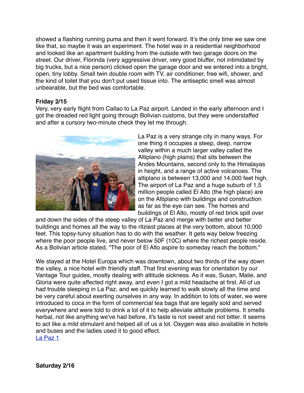showed a flashing running puma and then it went forward. It's the only time we saw one like that, so maybe it was an experiment. The hotel was in a residential neighborhood and looked like an apartment building from the outside with two garage doors on the street. Our driver, Florinda (very aggressive driver, very good bluffer, not intimidated by big trucks, but a nice person) clicked open the garage door and we entered into a bright, open, tiny lobby. Small twin double room with TV, air conditioner, free wifi, shower, and the kind of toilet that you don't put used tissue into. The antiseptic smell was almost unbearable, but the bed was comfortable.

## **Friday 2/15**

Very, very early flight from Callao to La Paz airport. Landed in the early afternoon and I got the dreaded red light going through Bolivian customs, but they were understaffed and after a cursory two-minute check they let me through.



La Paz is a very strange city in many ways. For one thing it occupies a steep, deep, narrow valley within a much larger valley called the Altiplano (high plains) that sits between the Andes Mountains, second only to the Himalayas in height, and a range of active volcanoes. The altiplano is between 13,000 and 14,000 feet high. The airport of La Paz and a huge suburb of 1,5 million people called El Alto (the high place) are on the Altiplano with buildings and construction as far as the eye can see. The homes and buildings of El Alto, mostly of red brick spill over

and down the sides of the steep valley of La Paz and merge with better and better buildings and homes all the way to the ritziest places at the very bottom, about 10,000 feet. This topsy-turvy situation has to do with the weather. It gets way below freezing where the poor people live, and never below 50F (10C) where the richest people reside. As a Bolivian article stated, "The poor of El Alto aspire to someday reach the bottom."

We stayed at the Hotel Europa which was downtown, about two thirds of the way down the valley, a nice hotel with friendly staff. That first evening was for orientation by our Vantage Tour guides, mostly dealing with altitude sickness. As it was, Susan, Malie, and Gloria were quite affected right away, and even I got a mild headache at first. All of us had trouble sleeping in La Paz, and we quickly learned to walk slowly all the time and be very careful about exerting ourselves in any way. In addition to lots of water, we were introduced to coca in the form of commercial tea bags that are legally sold and served everywhere and were told to drink a lot of it to help alleviate altitude problems. It smells herbal, not like anything we've had before, it's taste is not sweet and not bitter. It seems to act like a mild stimulant and helped all of us a lot. Oxygen was also available in hotels and buses and the ladies used it to good effect.

[La Paz 1](http://www.sergeking.com/Bolivia/bp21513.html)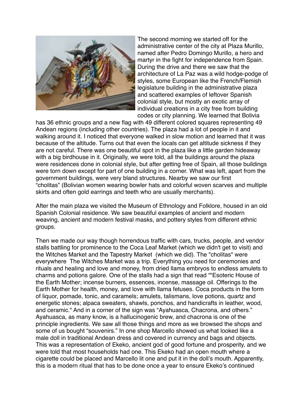

The second morning we started off for the administrative center of the city at Plaza Murillo, named after Pedro Domingo Murillo, a hero and martyr in the fight for independence from Spain. During the drive and there we saw that the architecture of La Paz was a wild hodge-podge of styles, some European like the French/Flemish legislature building in the administrative plaza and scattered examples of leftover Spanish colonial style, but mostly an exotic array of individual creations in a city free from building codes or city planning. We learned that Bolivia

has 36 ethnic groups and a new flag with 49 different colored squares representing 49 Andean regions (including other countries). The plaza had a lot of people in it and walking around it. I noticed that everyone walked in slow motion and learned that it was because of the altitude. Turns out that even the locals can get altitude sickness if they are not careful. There was one beautiful spot in the plaza like a little garden hideaway with a big birdhouse in it. Originally, we were told, all the buildings around the plaza were residences done in colonial style, but after getting free of Spain, all those buildings were torn down except for part of one building in a corner. What was left, apart from the government buildings, were very bland structures. Nearby we saw our first "cholitas" (Bolivian women wearing bowler hats and colorful woven scarves and multiple skirts and often gold earrings and teeth who are usually merchants).

After the main plaza we visited the Museum of Ethnology and Folklore, housed in an old Spanish Colonial residence. We saw beautiful examples of ancient and modern weaving, ancient and modern festival masks, and pottery styles from different ethnic groups.

Then we made our way though horrendous traffic with cars, trucks, people, and vendor stalls battling for prominence to the Coca Leaf Market (which we didn't get to visit) and the Witches Market and the Tapestry Market (which we did). The "cholitas" were everywhere The Witches Market was a trip. Everything you need for ceremonies and rituals and healing and love and money, from dried llama embryos to endless amulets to charms and potions galore. One of the stalls had a sign that read ""Esoteric House of the Earth Mother; incense burners, essences, incense, massage oil. Offerings to the Earth Mother for health, money, and love with llama fetuses. Coca products in the form of liquor, pomade, tonic, and caramels; amulets, talismans, love potions, quartz and energetic stones; alpaca sweaters, shawls, ponchos, and handicrafts in leather, wood, and ceramic." And in a corner of the sign was "Ayahuasca, Chacrona, and others." Ayahuasca, as many know, is a hallucinogenic brew, and chacrona is one of the principle ingredients. We saw all those things and more as we browsed the shops and some of us bought "souvenirs." In one shop Marcello showed us what looked like a male doll in traditional Andean dress and covered in currency and bags and objects. This was a representation of Ekeko, ancient god of good fortune and prosperity, and we were told that most households had one. This Ekeko had an open mouth where a cigarette could be placed and Marcello lit one and put it in the doll's mouth. Apparently, this is a modern ritual that has to be done once a year to ensure Ekeko's continued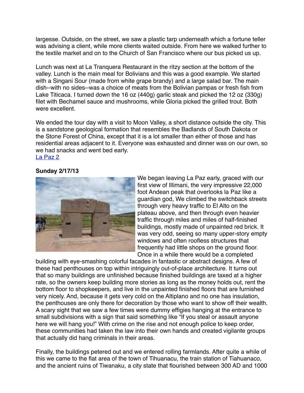largesse. Outside, on the street, we saw a plastic tarp underneath which a fortune teller was advising a client, while more clients waited outside. From here we walked further to the textile market and on to the Church of San Francisco where our bus picked us up.

Lunch was next at La Tranquera Restaurant in the ritzy section at the bottom of the valley. Lunch is the main meal for Bolivians and this was a good example. We started with a Singani Sour (made from white grape brandy) and a large salad bar. The main dish--with no sides--was a choice of meats from the Bolivian pampas or fresh fish from Lake Titicaca. I turned down the 16 oz (440g) garlic steak and picked the 12 oz (330g) filet with Bechamel sauce and mushrooms, while Gloria picked the grilled trout. Both were excellent.

We ended the tour day with a visit to Moon Valley, a short distance outside the city. This is a sandstone geological formation that resembles the Badlands of South Dakota or the Stone Forest of China, except that it is a lot smaller than either of those and has residential areas adjacent to it. Everyone was exhausted and dinner was on our own, so we had snacks and went bed early. [La Paz 2](http://www.sergeking.com/Bolivia/bp21613-01.html)

#### **Sunday 2/17/13**



We began leaving La Paz early, graced with our first view of Illimani, the very impressive 22,000 foot Andean peak that overlooks la Paz like a guardian god, We climbed the switchback streets through very heavy traffic to El Alto on the plateau above, and then through even heavier traffic through miles and miles of half-finished buildings, mostly made of unpainted red brick. It was very odd, seeing so many upper-story empty windows and often roofless structures that frequently had little shops on the ground floor. Once in a while there would be a completed

building with eye-smashing colorful facades in fantastic or abstract designs. A few of these had penthouses on top within intriguingly out-of-place architecture. It turns out that so many buildings are unfinished because finished buildings are taxed at a higher rate, so the owners keep building more stories as long as the money holds out, rent the bottom floor to shopkeepers, and live in the unpainted finished floors that are furnished very nicely. And, because it gets very cold on the Altiplano and no one has insulation, the penthouses are only there for decoration by those who want to show off their wealth. A scary sight that we saw a few times were dummy effigies hanging at the entrance to small subdivisions with a sign that said something like "If you steal or assault anyone here we will hang you!" With crime on the rise and not enough police to keep order, these communities had taken the law into their own hands and created vigilante groups that actually did hang criminals in their areas.

Finally, the buildings petered out and we entered rolling farmlands. After quite a while of this we came to the flat area of the town of Tihuanacu, the train station of Tiahuanaco, and the ancient ruins of Tiwanaku, a city state that flourished between 300 AD and 1000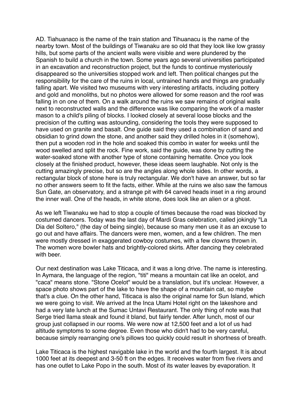AD. Tiahuanaco is the name of the train station and Tihuanacu is the name of the nearby town. Most of the buildings of Tiwanaku are so old that they look like low grassy hills, but some parts of the ancient walls were visible and were plundered by the Spanish to build a church in the town. Some years ago several universities participated in an excavation and reconstruction project, but the funds to continue mysteriously disappeared so the universities stopped work and left. Then political changes put the responsibility for the care of the ruins in local, untrained hands and things are gradually falling apart. We visited two museums with very interesting artifacts, including pottery and gold and monoliths, but no photos were allowed for some reason and the roof was falling in on one of them. On a walk around the ruins we saw remains of original walls next to reconstructed walls and the difference was like comparing the work of a master mason to a child's piling of blocks. I looked closely at several loose blocks and the precision of the cutting was astounding, considering the tools they were supposed to have used on granite and basalt. One guide said they used a combination of sand and obsidian to grind down the stone, and another said they drilled holes in it (somehow), then put a wooden rod in the hole and soaked this combo in water for weeks until the wood swelled and split the rock. Fine work, said the guide, was done by cutting the water-soaked stone with another type of stone containing hematite. Once you look closely at the finished product, however, these ideas seem laughable. Not only is the cutting amazingly precise, but so are the angles along whole sides. In other words, a rectangular block of stone here is truly rectangular. We don't have an answer, but so far no other answers seem to fit the facts, either. While at the ruins we also saw the famous Sun Gate, an observatory, and a strange pit with 64 carved heads inset in a ring around the inner wall. One of the heads, in white stone, does look like an alien or a ghost.

As we left Tiwanaku we had to stop a couple of times because the road was blocked by costumed dancers. Today was the last day of Mardi Gras celebration, called jokingly "La Dia del Soltero," (the day of being single), because so many men use it as an excuse to go out and have affairs. The dancers were men, women, and a few children. The men were mostly dressed in exaggerated cowboy costumes, with a few clowns thrown in. The women wore bowler hats and brightly-colored skirts. After dancing they celebrated with beer.

Our next destination was Lake Titicaca, and it was a long drive. The name is interesting. In Aymara, the language of the region, "titi" means a mountain cat like an ocelot, and "caca" means stone. "Stone Ocelot" would be a translation, but it's unclear. However, a space photo shows part of the lake to have the shape of a mountain cat, so maybe that's a clue. On the other hand, Titicaca is also the original name for Sun Island, which we were going to visit. We arrived at the Inca Utami Hotel right on the lakeshore and had a very late lunch at the Sumac Untavi Restaurant. The only thing of note was that Serge tried llama steak and found it bland, but fairly tender. After lunch, most of our group just collapsed in our rooms. We were now at 12,500 feet and a lot of us had altitude symptoms to some degree. Even those who didn't had to be very careful, because simply rearranging one's pillows too quickly could result in shortness of breath.

Lake Titicaca is the highest navigable lake in the world and the fourth largest. It is about 1000 feet at its deepest and 3-50 ft on the edges. It receives water from five rivers and has one outlet to Lake Popo in the south. Most of its water leaves by evaporation. It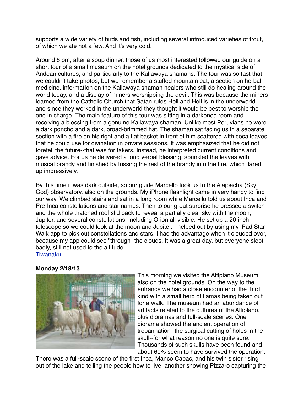supports a wide variety of birds and fish, including several introduced varieties of trout, of which we ate not a few. And it's very cold.

Around 6 pm, after a soup dinner, those of us most interested followed our guide on a short tour of a small museum on the hotel grounds dedicated to the mystical side of Andean cultures, and particularly to the Kallawaya shamans. The tour was so fast that we couldn't take photos, but we remember a stuffed mountain cat, a section on herbal medicine, informatIon on the Kallawaya shaman healers who still do healing around the world today, and a display of miners worshipping the devil. This was because the miners learned from the Catholic Church that Satan rules Hell and Hell is in the underworld, and since they worked in the underworld they thought it would be best to worship the one in charge. The main feature of this tour was sitting in a darkened room and receiving a blessing from a genuine Kallawaya shaman. Unlike most Peruvians he wore a dark poncho and a dark, broad-brimmed hat. The shaman sat facing us in a separate section with a fire on his right and a flat basket in front of him scattered with coca leaves that he could use for divination in private sessions. It was emphasized that he did not foretell the future--that was for fakers. Instead, he interpreted current conditions and gave advice. For us he delivered a long verbal blessing, sprinkled the leaves with muscat brandy and finished by tossing the rest of the brandy into the fire, which flared up impressively.

By this time it was dark outside, so our guide Marcello took us to the Alajpacha (Sky God) observatory, also on the grounds. My iPhone flashlight came in very handy to find our way. We climbed stairs and sat in a long room while Marcello told us about Inca and Pre-Inca constellations and star names. Then to our great surprise he pressed a switch and the whole thatched roof slid back to reveal a partially clear sky with the moon, Jupiter, and several constellations, including Orion all visible. He set up a 20-inch telescope so we could look at the moon and Jupiter. I helped out by using my iPad Star Walk app to pick out constellations and stars. I had the advantage when it clouded over, because my app could see "through" the clouds. It was a great day, but everyone slept badly, still not used to the altitude. [Tiwanaku](http://www.sergeking.com/Bolivia/bp21713-01.html)

## **Monday 2/18/13**



This morning we visited the Altiplano Museum, also on the hotel grounds. On the way to the entrance we had a close encounter of the third kind with a small herd of llamas being taken out for a walk. The museum had an abundance of artifacts related to the cultures of the Altiplano, plus dioramas and full-scale scenes. One diorama showed the ancient operation of trepannation--the surgical cutting of holes in the skull--for what reason no one is quite sure. Thousands of such skulls have been found and about 60% seem to have survived the operation.

There was a full-scale scene of the first Inca, Manco Capac, and his twin sister rising out of the lake and telling the people how to live, another showing Pizzaro capturing the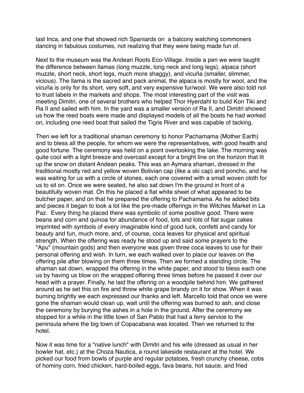last Inca, and one that showed rich Spaniards on a balcony watching commoners dancing in fabulous costumes, not realizing that they were being made fun of.

Next to the museum was the Andean Roots Eco-Village. Inside a pen we were taught the difference between llamas (long muzzle, long neck and long legs), alpaca (short muzzle, short neck, short legs, much more shaggy), and vicuña (smaller, slimmer, vicious). The llama is the sacred and pack animal, the alpaca is mostly for wool, and the vicuña is only for its short, very soft, and very expensive fur/wool. We were also told not to trust labels in the markets and shops. The most interesting part of the visit was meeting Dimitri, one of several brothers who helped Thor Hyerdahl to build Kon Tiki and Ra II and sailed with him. In the yard was a smaller version of Ra II, and Dimitri showed us how the reed boats were made and displayed models of all the boats he had worked on, including one reed boat that sailed the Tigris River and was capable of tacking.

Then we left for a traditional shaman ceremony to honor Pachamama (Mother Earth) and to bless all the people, for whom we were the representatives, with good health and good fortune. The ceremony was held on a point overlooking the lake. The morning was quite cool with a light breeze and overcast except for a bright line on the horizon that lit up the snow on distant Andean peaks. This was an Aymara shaman, dressed in the traditional mostly red and yellow woven Bolivian cap (like a ski cap) and poncho, and he was waiting for us with a circle of stones, each one covered with a small woven cloth for us to sit on. Once we were seated, he also sat down I'm the ground in front of a beautifully woven mat. On this he placed a flat white sheet of what appeared to be butcher paper, and on that he prepared the offering to Pachamama. As he added bits and pieces it began to look a lot like the pre-made offerings in the Witches Market in La Paz. Every thing he placed there was symbolic of some positive good. There were beans and corn and quinoa for abundance of food, lots and lots of flat sugar cakes imprinted with symbols of every imaginable kind of good luck, confetti and candy for beauty and fun, much more, and, of course, coca leaves for physical and spiritual strength. When the offering was ready he stood up and said some prayers to the "Apu" (mountain gods) and then everyone was given three coca leaves to use for their personal offering and wish. In turn, we each walked over to place our leaves on the offering pile after blowing on them three times. Then we formed a standing circle. The shaman sat down, wrapped the offering in the white paper, and stood to bless each one us by having us blow on the wrapped offering three times before he passed it over our head with a prayer. Finally, he laid the offering on a woodpile behind him. We gathered around as he set this on fire and threw white grape brandy on it for show. When it was burning brightly we each expressed our thanks and left. Marcello told that once we were gone the shaman would clean up, wait until the offering was burned to ash, and close the ceremony by burying the ashes in a hole in the ground. After the ceremony we stopped for a while in the little town of San Pablo that had a ferry service to the peninsula where the big town of Copacabana was located. Then we returned to the hotel.

Now it was time for a "native lunch" with Dimitri and his wife (dressed as usual in her bowler hat, etc.) at the Choza Nautica, a round lakeside restaurant at the hotel. We picked our food from bowls of purple and regular potatoes, fresh crunchy cheese, cobs of hominy corn, fried chicken, hard-boiled eggs, fava beans, hot sauce, and fried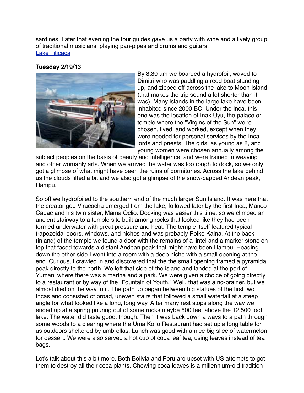sardines. Later that evening the tour guides gave us a party with wine and a lively group of traditional musicians, playing pan-pipes and drums and guitars. [Lake Titicaca](http://www.sergeking.com/Bolivia/bp21813-01.html)

## **Tuesday 2/19/13**



By 8:30 am we boarded a hydrofoil, waved to Dimitri who was paddling a reed boat standing up, and zipped off across the lake to Moon Island (that makes the trip sound a lot shorter than it was). Many islands in the large lake have been inhabited since 2000 BC. Under the Inca, this one was the location of Inak Uyu, the palace or temple where the "Virgins of the Sun" we're chosen, lived, and worked, except when they were needed for personal services by the Inca lords and priests. The girls, as young as 8, and young women were chosen annually among the

subject peoples on the basis of beauty and intelligence, and were trained in weaving and other womanly arts. When we arrived the water was too rough to dock, so we only got a glimpse of what might have been the ruins of dormitories. Across the lake behind us the clouds lifted a bit and we also got a glimpse of the snow-capped Andean peak, Illampu.

So off we hydrofoiled to the southern end of the much larger Sun Island. It was here that the creator god Viracocha emerged from the lake, followed later by the first Inca, Manco Capac and his twin sister, Mama Oclio. Docking was easier this time, so we climbed an ancient stairway to a temple site built among rocks that looked like they had been formed underwater with great pressure and heat. The temple itself featured typical trapezoidal doors, windows, and niches and was probably Polko Kaina. At the back (inland) of the temple we found a door with the remains of a lintel and a marker stone on top that faced towards a distant Andean peak that might have been Illampu. Heading down the other side I went into a room with a deep niche with a small opening at the end. Curious, I crawled in and discovered that the the small opening framed a pyramidal peak directly to the north. We left that side of the island and landed at the port of Yumani where there was a marina and a park. We were given a choice of going directly to a restaurant or by way of the "Fountain of Youth." Well, that was a no-brainer, but we almost died on the way to it. The path up began between big statues of the first two Incas and consisted of broad, uneven stairs that followed a small waterfall at a steep angle for what looked like a long, long way. After many rest stops along the way we ended up at a spring pouring out of some rocks maybe 500 feet above the 12,500 foot lake. The water did taste good, though. Then it was back down a ways to a path through some woods to a clearing where the Uma Kollo Restaurant had set up a long table for us outdoors sheltered by umbrellas. Lunch was good with a nice big slice of watermelon for dessert. We were also served a hot cup of coca leaf tea, using leaves instead of tea bags.

Let's talk about this a bit more. Both Bolivia and Peru are upset with US attempts to get them to destroy all their coca plants. Chewing coca leaves is a millennium-old tradition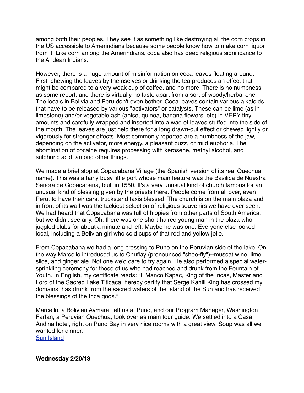among both their peoples. They see it as something like destroying all the corn crops in the US accessible to Amerindians because some people know how to make corn liquor from it. Like corn among the Amerindians, coca also has deep religious significance to the Andean Indians.

However, there is a huge amount of misinformation on coca leaves floating around. First, chewing the leaves by themselves or drinking the tea produces an effect that might be compared to a very weak cup of coffee, and no more. There is no numbness as some report, and there is virtually no taste apart from a sort of woody/herbal one. The locals in Bolivia and Peru don't even bother. Coca leaves contain various alkaloids that have to be released by various "activators" or catalysts. These can be lime (as in limestone) and/or vegetable ash (anise, quinoa, banana flowers, etc) in VERY tiny amounts and carefully wrapped and inserted into a wad of leaves stuffed into the side of the mouth. The leaves are just held there for a long drawn-out effect or chewed lightly or vigorously for stronger effects. Most commonly reported are a numbness of the jaw, depending on the activator, more energy, a pleasant buzz, or mild euphoria. The abomination of cocaine requires processing with kerosene, methyl alcohol, and sulphuric acid, among other things.

We made a brief stop at Copacabana Village (the Spanish version of its real Quechua name). This was a fairly busy little port whose main feature was the Basilica de Nuestra Señora de Copacabana, built in 1550. It's a very unusual kind of church famous for an unusual kind of blessing given by the priests there. People come from all over, even Peru, to have their cars, trucks,and taxis blessed. The church is on the main plaza and in front of its wall was the tackiest selection of religious souvenirs we have ever seen. We had heard that Copacabana was full of hippies from other parts of South America, but we didn't see any. Oh, there was one short-haired young man in the plaza who juggled clubs for about a minute and left. Maybe he was one. Everyone else looked local, including a Bolivian girl who sold cups of that red and yellow jello.

From Copacabana we had a long crossing to Puno on the Peruvian side of the lake. On the way Marcello introduced us to Chuflay (pronounced "shoo-fly")--muscat wine, lime slice, and ginger ale. Not one we'd care to try again. He also performed a special watersprinkling ceremony for those of us who had reached and drunk from the Fountain of Youth. In English, my certificate reads: "I, Manco Kapac, King of the Incas, Master and Lord of the Sacred Lake Titicaca, hereby certify that Serge Kahili King has crossed my domains, has drunk from the sacred waters of the Island of the Sun and has received the blessings of the Inca gods."

Marcello, a Bolivian Aymara, left us at Puno, and our Program Manager, Washington Farfan, a Peruvian Quechua, took over as main tour guide. We settled into a Casa Andina hotel, right on Puno Bay in very nice rooms with a great view. Soup was all we wanted for dinner.

[Sun Island](http://www.sergeking.com/Bolivia/bp21913-01.html)

**Wednesday 2/20/13**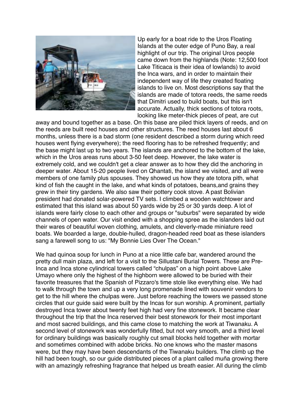

Up early for a boat ride to the Uros Floating Islands at the outer edge of Puno Bay, a real highlight of our trip. The original Uros people came down from the highlands (Note: 12,500 foot Lake Titicaca is their idea of lowlands) to avoid the Inca wars, and in order to maintain their independent way of life they created floating islands to live on. Most descriptions say that the islands are made of totora reeds, the same reeds that Dimitri used to build boats, but this isn't accurate. Actually, thick sections of totora roots, looking like meter-thick pieces of peat, are cut

away and bound together as a base. On this base are piled thick layers of reeds, and on the reeds are built reed houses and other structures. The reed houses last about 6 months, unless there is a bad storm (one resident described a storm during which reed houses went flying everywhere); the reed flooring has to be refreshed frequently; and the base might last up to two years. The islands are anchored to the bottom of the lake, which in the Uros areas runs about 3-50 feet deep. However, the lake water is extremely cold, and we couldn't get a clear answer as to how they did the anchoring in deeper water. About 15-20 people lived on Qhantati, the island we visited, and all were members of one family plus spouses. They showed us how they ate totora pith, what kind of fish the caught in the lake, and what kinds of potatoes, beans,and grains they grew in their tiny gardens. We also saw their pottery cook stove. A past Bolivian president had donated solar-powered TV sets. I climbed a wooden watchtower and estimated that this island was about 50 yards wide by 25 or 30 yards deep. A lot of islands were fairly close to each other and groups or "suburbs" were separated by wide channels of open water. Our visit ended with a shopping spree as the islanders laid out their wares of beautiful woven clothing, amulets, and cleverly-made miniature reed boats. We boarded a large, double-hulled, dragon-headed reed boat as these islanders sang a farewell song to us: "My Bonnie Lies Over The Ocean."

We had quinoa soup for lunch in Puno at a nice little cafe bar, wandered around the pretty dull main plaza, and left for a visit to the Sillustani Burial Towers. These are Pre-Inca and Inca stone cylindrical towers called "chulpas" on a high point above Lake Umayo where only the highest of the highborn were allowed to be buried with their favorite treasures that the Spanish of Pizzaro's time stole like everything else. We had to walk through the town and up a very long promenade lined with souvenir vendors to get to the hill where the chulpas were. Just before reaching the towers we passed stone circles that our guide said were built by the Incas for sun worship. A prominent, partially destroyed Inca tower about twenty feet high had very fine stonework. It became clear throughout the trip that the Inca reserved their best stonework for their most important and most sacred buildings, and this came close to matching the work at Tiwanaku. A second level of stonework was wonderfully fitted, but not very smooth, and a third level for ordinary buildings was basically roughly cut small blocks held together with mortar and sometimes combined with adobe bricks. No one knows who the master masons were, but they may have been descendants of the Tiwanaku builders. The climb up the hill had been tough, so our guide distributed pieces of a plant called muña growing there with an amazingly refreshing fragrance that helped us breath easier. All during the climb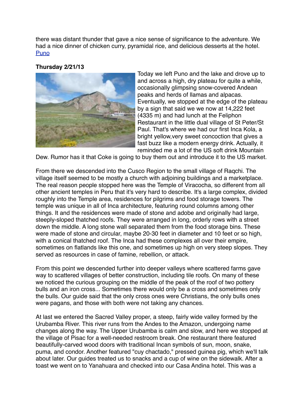there was distant thunder that gave a nice sense of significance to the adventure. We had a nice dinner of chicken curry, pyramidal rice, and delicious desserts at the hotel. [Puno](http://www.sergeking.com/Bolivia/bp22013-01.html)

#### **Thursday 2/21/13**



Today we left Puno and the lake and drove up to and across a high, dry plateau for quite a while, occasionally glimpsing snow-covered Andean peaks and herds of llamas and alpacas. Eventually, we stopped at the edge of the plateau by a sign that said we we now at 14,222 feet (4335 m) and had lunch at the Feliphon Restaurant in the little dual village of St Peter/St Paul. That's where we had our first Inca Kola, a bright yellow,very sweet concoction that gives a fast buzz like a modern energy drink. Actually, it reminded me a lot of the US soft drink Mountain

Dew. Rumor has it that Coke is going to buy them out and introduce it to the US market.

From there we descended into the Cusco Region to the small village of Raqchi. The village itself seemed to be mostly a church with adjoining buildings and a marketplace. The real reason people stopped here was the Temple of Viracocha, so different from all other ancient temples in Peru that it's very hard to describe. It's a large complex, divided roughly into the Temple area, residences for pilgrims and food storage towers. The temple was unique in all of Inca architecture, featuring round columns among other things. It and the residences were made of stone and adobe and originally had large, steeply-sloped thatched roofs. They were arranged in long, orderly rows with a street down the middle. A long stone wall separated them from the food storage bins. These were made of stone and circular, maybe 20-30 feet in diameter and 10 feet or so high, with a conical thatched roof. The Inca had these complexes all over their empire, sometimes on flatlands like this one, and sometimes up high on very steep slopes. They served as resources in case of famine, rebellion, or attack.

From this point we descended further into deeper valleys where scattered farms gave way to scattered villages of better construction, including tile roofs. On many of these we noticed the curious grouping on the middle of the peak of the roof of two pottery bulls and an iron cross... Sometimes there would only be a cross and sometimes only the bulls. Our guide said that the only cross ones were Christians, the only bulls ones were pagans, and those with both were not taking any chances.

At last we entered the Sacred Valley proper, a steep, fairly wide valley formed by the Urubamba River. This river runs from the Andes to the Amazon, undergoing name changes along the way. The Upper Urubamba is calm and slow, and here we stopped at the village of Pisac for a well-needed restroom break. One restaurant there featured beautifully-carved wood doors with traditional Incan symbols of sun, moon, snake, puma, and condor. Another featured "cuy chactado," pressed guinea pig, which we'll talk about later. Our guides treated us to snacks and a cup of wine on the sidewalk. After a toast we went on to Yanahuara and checked into our Casa Andina hotel. This was a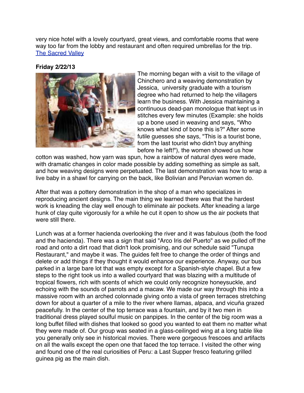very nice hotel with a lovely courtyard, great views, and comfortable rooms that were way too far from the lobby and restaurant and often required umbrellas for the trip. [The Sacred Valley](http://www.sergeking.com/Bolivia/bp22113-01.html)

**Friday 2/22/13**



The morning began with a visit to the village of Chinchero and a weaving demonstration by Jessica, university graduate with a tourism degree who had returned to help the villagers learn the business. With Jessica maintaining a continuous dead-pan monologue that kept us in stitches every few minutes (Example: she holds up a bone used in weaving and says, "Who knows what kind of bone this is?" After some futile guesses she says, "This is a tourist bone, from the last tourist who didn't buy anything before he left!"), the women showed us how

cotton was washed, how yarn was spun, how a rainbow of natural dyes were made, with dramatic changes in color made possible by adding something as simple as salt, and how weaving designs were perpetuated. The last demonstration was how to wrap a live baby in a shawl for carrying on the back, like Bolivian and Peruvian women do.

After that was a pottery demonstration in the shop of a man who specializes in reproducing ancient designs. The main thing we learned there was that the hardest work is kneading the clay well enough to eliminate air pockets. After kneading a large hunk of clay quite vigorously for a while he cut it open to show us the air pockets that were still there.

Lunch was at a former hacienda overlooking the river and it was fabulous (both the food and the hacienda). There was a sign that said "Arco Iris del Puerto" as we pulled off the road and onto a dirt road that didn't look promising, and our schedule said "Tunupa Restaurant," and maybe it was. The guides felt free to change the order of things and delete or add things if they thought it would enhance our experience. Anyway, our bus parked in a large bare lot that was empty except for a Spanish-style chapel. But a few steps to the right took us into a walled courtyard that was blazing with a multitude of tropical flowers, rich with scents of which we could only recognize honeysuckle, and echoing with the sounds of parrots and a macaw. We made our way through this into a massive room with an arched colonnade giving onto a vista of green terraces stretching down for about a quarter of a mile to the river where llamas, alpaca, and vicuña grazed peacefully. In the center of the top terrace was a fountain, and by it two men in traditional dress played soulful music on panpipes. In the center of the big room was a long buffet filled with dishes that looked so good you wanted to eat them no matter what they were made of. Our group was seated in a glass-ceilinged wing at a long table like you generally only see in historical movies. There were gorgeous frescoes and artifacts on all the walls except the open one that faced the top terrace. I visited the other wing and found one of the real curiosities of Peru: a Last Supper fresco featuring grilled guinea pig as the main dish.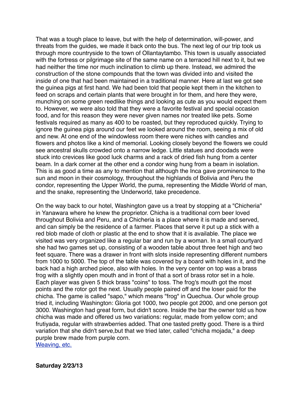That was a tough place to leave, but with the help of determination, will-power, and threats from the guides, we made it back onto the bus. The next leg of our trip took us through more countryside to the town of Ollantaytambo. This town is usually associated with the fortress or pilgrimage site of the same name on a terraced hill next to it, but we had neither the time nor much inclination to climb up there. Instead, we admired the construction of the stone compounds that the town was divided into and visited the inside of one that had been maintained in a traditional manner. Here at last we got see the guinea pigs at first hand. We had been told that people kept them in the kitchen to feed on scraps and certain plants that were brought in for them, and here they were, munching on some green reedlike things and looking as cute as you would expect them to. However, we were also told that they were a favorite festival and special occasion food, and for this reason they were never given names nor treated like pets. Some festivals required as many as 400 to be roasted, but they reproduced quickly. Trying to ignore the guinea pigs around our feet we looked around the room, seeing a mix of old and new. At one end of the windowless room there were niches with candles and flowers and photos like a kind of memorial. Looking closely beyond the flowers we could see ancestral skulls crowded onto a narrow ledge. Little statues and doodads were stuck into crevices like good luck charms and a rack of dried fish hung from a center beam. In a dark corner at the other end a condor wing hung from a beam in isolation. This is as good a time as any to mention that although the Inca gave prominence to the sun and moon in their cosmology, throughout the highlands of Bolivia and Peru the condor, representing the Upper World, the puma, representing the Middle World of man, and the snake, representing the Underworld, take precedence.

On the way back to our hotel, Washington gave us a treat by stopping at a "Chicheria" in Yanawara where he knew the proprietor. Chicha is a traditional corn beer loved throughout Bolivia and Peru, and a Chicheria is a place where it is made and served, and can simply be the residence of a farmer. Places that serve it put up a stick with a red blob made of cloth or plastic at the end to show that it is available. The place we visited was very organized like a regular bar and run by a woman. In a small courtyard she had two games set up, consisting of a wooden table about three feet high and two feet square. There was a drawer in front with slots inside representing different numbers from 1000 to 5000. The top of the table was covered by a board with holes in it, and the back had a high arched piece, also with holes. In the very center on top was a brass frog with a slightly open mouth and in front of that a sort of brass rotor set in a hole. Each player was given 5 thick brass "coins" to toss. The frog's mouth got the most points and the rotor got the next. Usually people paired off and the loser paid for the chicha. The game is called "sapo," which means "frog" in Quechua. Our whole group tried it, including Washington: Gloria got 1000, two people got 2000, and one person got 3000. Washington had great form, but didn't score. Inside the bar the owner told us how chicha was made and offered us two variations: regular, made from yellow corn; and frutiyada, regular with strawberries added. That one tasted pretty good. There is a third variation that she didn't serve,but that we tried later, called "chicha mojada," a deep purple brew made from purple corn. [Weaving, etc.](http://www.sergeking.com/Bolivia/bp22213-01.html)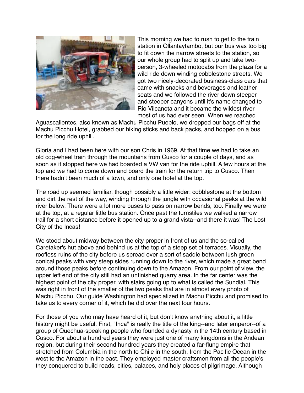

This morning we had to rush to get to the train station in Ollantaytambo, but our bus was too big to fit down the narrow streets to the station, so our whole group had to split up and take twoperson, 3-wheeled motocabs from the plaza for a wild ride down winding cobblestone streets. We got two nicely-decorated business-class cars that came with snacks and beverages and leather seats and we followed the river down steeper and steeper canyons until it's name changed to Rio Vilcanota and it became the wildest river most of us had ever seen. When we reached

Aguascalientes, also known as Machu Picchu Pueblo, we dropped our bags off at the Machu Picchu Hotel, grabbed our hiking sticks and back packs, and hopped on a bus for the long ride uphill.

Gloria and I had been here with our son Chris in 1969. At that time we had to take an old cog-wheel train through the mountains from Cusco for a couple of days, and as soon as it stopped here we had boarded a VW van for the ride uphill. A few hours at the top and we had to come down and board the train for the return trip to Cusco. Then there hadn't been much of a town, and only one hotel at the top.

The road up seemed familiar, though possibly a little wider: cobblestone at the bottom and dirt the rest of the way, winding through the jungle with occasional peeks at the wild river below. There were a lot more buses to pass on narrow bends, too. Finally we were at the top, at a regular little bus station. Once past the turnstiles we walked a narrow trail for a short distance before it opened up to a grand vista--and there it was! The Lost City of the Incas!

We stood about midway between the city proper in front of us and the so-called Caretaker's hut above and behind us at the top of a steep set of terraces. Visually, the roofless ruins of the city before us spread over a sort of saddle between lush green conical peaks with very steep sides running down to the river, which made a great bend around those peaks before continuing down to the Amazon. From our point of view, the upper left end of the city still had an unfinished quarry area. In the far center was the highest point of the city proper, with stairs going up to what is called the Sundial. This was right in front of the smaller of the two peaks that are in almost every photo of Machu Picchu. Our guide Washington had specialized in Machu Picchu and promised to take us to every corner of it, which he did over the next four hours.

For those of you who may have heard of it, but don't know anything about it, a little history might be useful. First, "Inca" is really the title of the king--and later emperor--of a group of Quechua-speaking people who founded a dynasty in the 14th century based in Cusco. For about a hundred years they were just one of many kingdoms in the Andean region, but during their second hundred years they created a far-flung empire that stretched from Columbia in the north to Chile in the south, from the Pacific Ocean in the west to the Amazon in the east. They employed master craftsmen from all the people's they conquered to build roads, cities, palaces, and holy places of pilgrimage. Although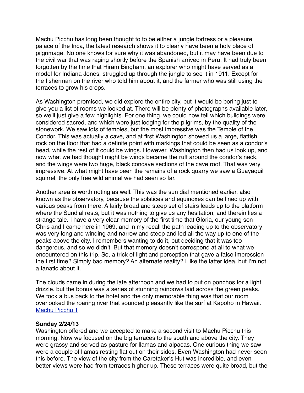Machu Picchu has long been thought to to be either a jungle fortress or a pleasure palace of the Inca, the latest research shows it to clearly have been a holy place of pilgrimage. No one knows for sure why it was abandoned, but it may have been due to the civil war that was raging shortly before the Spanish arrived in Peru. It had truly been forgotten by the time that Hiram Bingham, an explorer who might have served as a model for Indiana Jones, struggled up through the jungle to see it in 1911. Except for the fisherman on the river who told him about it, and the farmer who was still using the terraces to grow his crops.

As Washington promised, we did explore the entire city, but it would be boring just to give you a list of rooms we looked at. There will be plenty of photographs available later, so we'll just give a few highlights. For one thing, we could now tell which buildings were considered sacred, and which were just lodging for the pilgrims, by the quality of the stonework. We saw lots of temples, but the most impressive was the Temple of the Condor. This was actually a cave, and at first Washington showed us a large, flattish rock on the floor that had a definite point with markings that could be seen as a condor's head, while the rest of it could be wings. However, Washington then had us look up, and now what we had thought might be wings became the ruff around the condor's neck, and the wings were two huge, black concave sections of the cave roof. That was very impressive. At what might have been the remains of a rock quarry we saw a Guayaquil squirrel, the only free wild animal we had seen so far.

Another area is worth noting as well. This was the sun dial mentioned earlier, also known as the observatory, because the solstices and equinoxes can be lined up with various peaks from there. A fairly broad and steep set of stairs leads up to the platform where the Sundial rests, but it was nothing to give us any hesitation, and therein lies a strange tale. I have a very clear memory of the first time that Gloria, our young son Chris and I came here in 1969, and in my recall the path leading up to the observatory was very long and winding and narrow and steep and led all the way up to one of the peaks above the city. I remembers wanting to do it, but deciding that it was too dangerous, and so we didn't. But that memory doesn't correspond at all to what we encountered on this trip. So, a trick of light and perception that gave a false impression the first time? Simply bad memory? An alternate reality? I like the latter idea, but I'm not a fanatic about it.

The clouds came in during the late afternoon and we had to put on ponchos for a light drizzle. but the bonus was a series of stunning rainbows laid across the green peaks. We took a bus back to the hotel and the only memorable thing was that our room overlooked the roaring river that sounded pleasantly like the surf at Kapoho in Hawaii. [Machu Picchu 1](http://www.sergeking.com/Bolivia/bp22313-01.html)

#### **Sunday 2/24/13**

Washington offered and we accepted to make a second visit to Machu Picchu this morning. Now we focused on the big terraces to the south and above the city. They were grassy and served as pasture for llamas and alpacas. One curious thing we saw were a couple of llamas resting flat out on their sides. Even Washington had never seen this before. The view of the city from the Caretaker's Hut was incredible, and even better views were had from terraces higher up. These terraces were quite broad, but the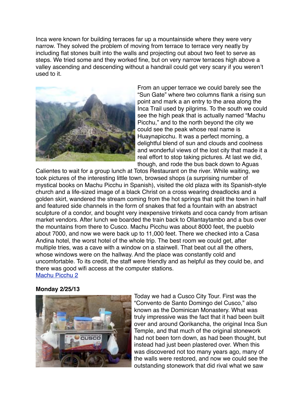Inca were known for building terraces far up a mountainside where they were very narrow. They solved the problem of moving from terrace to terrace very neatly by including flat stones built into the walls and projecting out about two feet to serve as steps. We tried some and they worked fine, but on very narrow terraces high above a valley ascending and descending without a handrail could get very scary if you weren't used to it.



From an upper terrace we could barely see the "Sun Gate" where two columns flank a rising sun point and mark a an entry to the area along the Inca Trail used by pilgrims. To the south we could see the high peak that is actually named "Machu Picchu," and to the north beyond the city we could see the peak whose real name is Huaynapicchu. It was a perfect morning, a delightful blend of sun and clouds and coolness and wonderful views of the lost city that made it a real effort to stop taking pictures. At last we did, though, and rode the bus back down to Aguas

Calientes to wait for a group lunch at Totos Restaurant on the river. While waiting, we took pictures of the interesting little town, browsed shops (a surprising number of mystical books on Machu Picchu in Spanish), visited the old plaza with its Spanish-style church and a life-sized image of a black Christ on a cross wearing dreadlocks and a golden skirt, wandered the stream coming from the hot springs that split the town in half and featured side channels in the form of snakes that fed a fountain with an abstract sculpture of a condor, and bought very inexpensive trinkets and coca candy from artisan market vendors. After lunch we boarded the train back to Ollantaytambo and a bus over the mountains from there to Cusco. Machu Picchu was about 8000 feet, the pueblo about 7000, and now we were back up to 11,000 feet. There we checked into a Casa Andina hotel, the worst hotel of the whole trip. The best room we could get, after multiple tries, was a cave with a window on a stairwell. That beat out all the others, whose windows were on the hallway. And the place was constantly cold and uncomfortable. To its credit, the staff were friendly and as helpful as they could be, and there was good wifi access at the computer stations. [Machu Picchu 2](http://www.sergeking.com/Bolivia/bp22413-01.html)

#### **Monday 2/25/13**



Today we had a Cusco City Tour. First was the "Convento de Santo Domingo del Cusco," also known as the Dominican Monastery. What was truly impressive was the fact that it had been built over and around Qorikancha, the original Inca Sun Temple, and that much of the original stonework had not been torn down, as had been thought, but instead had just been plastered over. When this was discovered not too many years ago, many of the walls were restored, and now we could see the outstanding stonework that did rival what we saw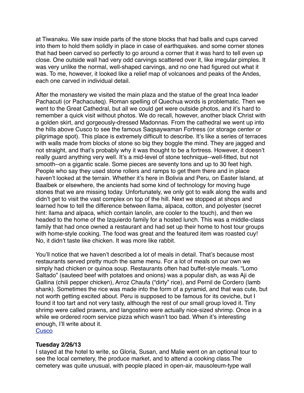at Tiwanaku. We saw inside parts of the stone blocks that had balls and cups carved into them to hold them solidly in place in case of earthquakes. and some corner stones that had been carved so perfectly to go around a corner that it was hard to tell even up close. One outside wall had very odd carvings scattered over it, like irregular pimples. It was very unlike the normal, well-shaped carvings, and no one had figured out what it was. To me, however, it looked like a relief map of volcanoes and peaks of the Andes, each one carved in individual detail.

After the monastery we visited the main plaza and the statue of the great Inca leader Pachacuti (or Pachacuteq). Roman spelling of Quechua words is problematic. Then we went to the Great Cathedral, but all we could get were outside photos, and it's hard to remember a quick visit without photos. We do recall, however, another black Christ with a golden skirt, and gorgeously-dressed Madonnas. From the cathedral we went up into the hills above Cusco to see the famous Saqsaywaman Fortress (or storage center or pilgrimage spot). This place is extremely difficult to describe. It's like a series of terraces with walls made from blocks of stone so big they boggle the mind. They are jagged and not straight, and that's probably why it was thought to be a fortress. However, it doesn't really guard anything very well. It's a mid-level of stone technique--well-fitted, but not smooth--on a gigantic scale. Some pieces are seventy tons and up to 30 feet high. People who say they used stone rollers and ramps to get them there and in place haven't looked at the terrain. Whether it's here in Bolivia and Peru, on Easter Island, at Baalbek or elsewhere, the ancients had some kind of technology for moving huge stones that we are missing today. Unfortunately, we only got to walk along the walls and didn't get to visit the vast complex on top of the hill. Next we stopped at shops and learned how to tell the difference between llama, alpaca, cotton, and polyester (secret hint: llama and alpaca, which contain lanolin, are cooler to the touch), and then we headed to the home of the Izquierdo family for a hosted lunch. This was a middle-class family that had once owned a restaurant and had set up their home to host tour groups with home-style cooking. The food was great and the featured item was roasted cuy! No, it didn't taste like chicken. It was more like rabbit.

You'll notice that we haven't described a lot of meals in detail. That's because most restaurants served pretty much the same menu. For a lot of meals on our own we simply had chicken or quinoa soup. Restaurants often had buffet-style meals. "Lomo Saltado" (sauteed beef with potatoes and onions) was a popular dish, as was Aji de Gallina (chili pepper chicken), Arroz Chaufa ("dirty" rice), and Pernil de Cordero (lamb shank). Sometimes the rice was made into the form of a pyramid, and that was cute, but not worth getting excited about. Peru is supposed to be famous for its ceviche, but I found it too tart and not very tasty, although the rest of our small group loved it. Tiny shrimp were called prawns, and langostino were actually nice-sized shrimp. Once in a while we ordered room service pizza which wasn't too bad. When it's interesting enough, I'll write about it.

**[Cusco](http://www.sergeking.com/Bolivia/bp22513-01.html)** 

## **Tuesday 2/26/13**

I stayed at the hotel to write, so Gloria, Susan, and Malie went on an optional tour to see the local cemetery, the produce market, and to attend a cooking class.The cemetery was quite unusual, with people placed in open-air, mausoleum-type wall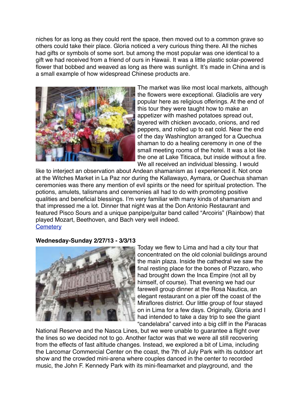niches for as long as they could rent the space, then moved out to a common grave so others could take their place. Gloria noticed a very curious thing there. All the niches had gifts or symbols of some sort. but among the most popular was one identical to a gift we had received from a friend of ours in Hawaii. It was a little plastic solar-powered flower that bobbed and weaved as long as there was sunlight. It's made in China and is a small example of how widespread Chinese products are.



The market was like most local markets, although the flowers were exceptional. Gladiolis are very popular here as religious offerings. At the end of this tour they were taught how to make an appetizer with mashed potatoes spread out, layered with chicken avocado, onions, and red peppers, and rolled up to eat cold. Near the end of the day Washington arranged for a Quechua shaman to do a healing ceremony in one of the small meeting rooms of the hotel. It was a lot like the one at Lake Titicaca, but inside without a fire. We all received an individual blessing. I would

like to interject an observation about Andean shamanism as I experienced it. Not once at the Witches Market in La Paz nor during the Kallawayo, Aymara, or Quechua shaman ceremonies was there any mention of evil spirits or the need for spiritual protection. The potions, amulets, talismans and ceremonies all had to do with promoting positive qualities and beneficial blessings. I'm very familiar with many kinds of shamanism and that impressed me a lot. Dinner that night was at the Don Antonio Restaurant and featured Pisco Sours and a unique panpipe/guitar band called "Arcoiris" (Rainbow) that played Mozart, Beethoven, and Bach very well indeed. **[Cemetery](http://www.sergeking.com/Bolivia/bp22613-01.html)** 

## **Wednesday-Sunday 2/27/13 - 3/3/13**



Today we flew to Lima and had a city tour that concentrated on the old colonial buildings around the main plaza. Inside the cathedral we saw the final resting place for the bones of Pizzaro, who had brought down the Inca Empire (not all by himself, of course). That evening we had our farewell group dinner at the Rosa Nautica, an elegant restaurant on a pier off the coast of the Miraflores district. Our little group of four stayed on in Lima for a few days. Originally, Gloria and I had intended to take a day trip to see the giant "candelabra" carved into a big cliff in the Paracas

National Reserve and the Nasca Lines, but we were unable to guarantee a flight over the lines so we decided not to go. Another factor was that we were all still recovering from the effects of fast altitude changes. Instead, we explored a bit of Lima, including the Larcomar Commercial Center on the coast, the 7th of July Park with its outdoor art show and the crowded mini-arena where couples danced in the center to recorded music, the John F. Kennedy Park with its mini-fleamarket and playground, and the